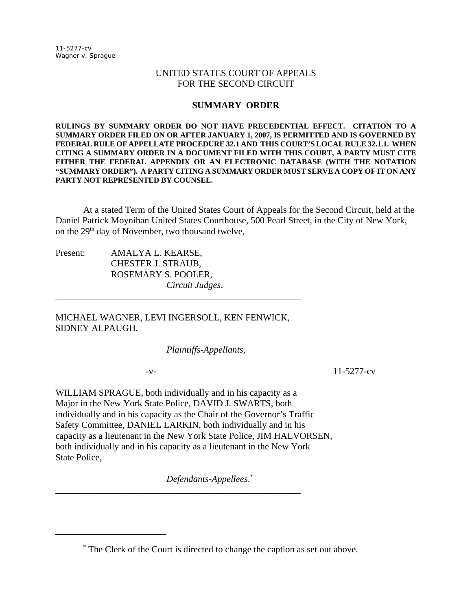## UNITED STATES COURT OF APPEALS FOR THE SECOND CIRCUIT

## **SUMMARY ORDER**

**RULINGS BY SUMMARY ORDER DO NOT HAVE PRECEDENTIAL EFFECT. CITATION TO A SUMMARY ORDER FILED ON OR AFTER JANUARY 1, 2007, IS PERMITTED AND IS GOVERNED BY FEDERAL RULE OF APPELLATE PROCEDURE 32.1 AND THIS COURT'S LOCAL RULE 32.1.1. WHEN CITING A SUMMARY ORDER IN A DOCUMENT FILED WITH THIS COURT, A PARTY MUST CITE EITHER THE FEDERAL APPENDIX OR AN ELECTRONIC DATABASE (WITH THE NOTATION "SUMMARY ORDER"). A PARTY CITING A SUMMARY ORDER MUST SERVE A COPY OF IT ON ANY PARTY NOT REPRESENTED BY COUNSEL.** 

At a stated Term of the United States Court of Appeals for the Second Circuit, held at the Daniel Patrick Moynihan United States Courthouse, 500 Pearl Street, in the City of New York, on the 29<sup>th</sup> day of November, two thousand twelve,

Present: AMALYA L. KEARSE, CHESTER J. STRAUB, ROSEMARY S. POOLER, *Circuit Judges*.

MICHAEL WAGNER, LEVI INGERSOLL, KEN FENWICK, SIDNEY ALPAUGH,

\_\_\_\_\_\_\_\_\_\_\_\_\_\_\_\_\_\_\_\_\_\_\_\_\_\_\_\_\_\_\_\_\_\_\_\_\_\_\_\_\_\_\_\_\_\_\_\_\_\_\_\_\_

*Plaintiffs-Appellants*,

-v- 11-5277-cv

WILLIAM SPRAGUE, both individually and in his capacity as a Major in the New York State Police, DAVID J. SWARTS, both individually and in his capacity as the Chair of the Governor's Traffic Safety Committee, DANIEL LARKIN, both individually and in his capacity as a lieutenant in the New York State Police, JIM HALVORSEN, both individually and in his capacity as a lieutenant in the New York State Police,

\_\_\_\_\_\_\_\_\_\_\_\_\_\_\_\_\_\_\_\_\_\_\_\_\_\_\_\_\_\_\_\_\_\_\_\_\_\_\_\_\_\_\_\_\_\_\_\_\_\_\_\_\_

*Defendants-Appellees*. \*

<sup>\*</sup> The Clerk of the Court is directed to change the caption as set out above.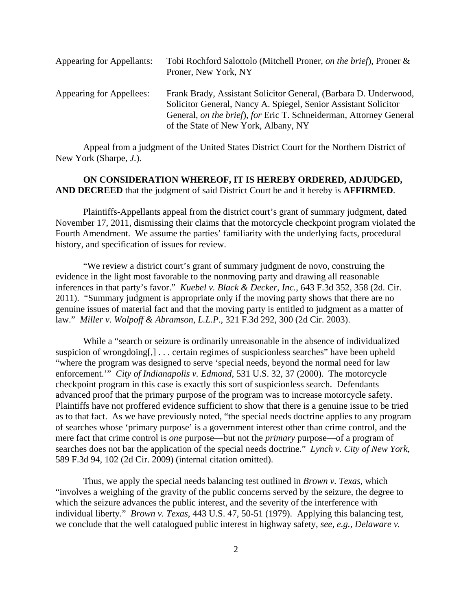| <b>Appearing for Appellants:</b> | Tobi Rochford Salottolo (Mitchell Proner, on the brief), Proner &<br>Proner, New York, NY                                                                                                                                                         |
|----------------------------------|---------------------------------------------------------------------------------------------------------------------------------------------------------------------------------------------------------------------------------------------------|
| Appearing for Appellees:         | Frank Brady, Assistant Solicitor General, (Barbara D. Underwood,<br>Solicitor General, Nancy A. Spiegel, Senior Assistant Solicitor<br>General, on the brief), for Eric T. Schneiderman, Attorney General<br>of the State of New York, Albany, NY |

Appeal from a judgment of the United States District Court for the Northern District of New York (Sharpe, *J.*).

**ON CONSIDERATION WHEREOF, IT IS HEREBY ORDERED, ADJUDGED, AND DECREED** that the judgment of said District Court be and it hereby is **AFFIRMED**.

Plaintiffs-Appellants appeal from the district court's grant of summary judgment, dated November 17, 2011, dismissing their claims that the motorcycle checkpoint program violated the Fourth Amendment. We assume the parties' familiarity with the underlying facts, procedural history, and specification of issues for review.

"We review a district court's grant of summary judgment de novo, construing the evidence in the light most favorable to the nonmoving party and drawing all reasonable inferences in that party's favor." *Kuebel v. Black & Decker, Inc.*, 643 F.3d 352, 358 (2d. Cir. 2011). "Summary judgment is appropriate only if the moving party shows that there are no genuine issues of material fact and that the moving party is entitled to judgment as a matter of law." *Miller v. Wolpoff & Abramson, L.L.P.*, 321 F.3d 292, 300 (2d Cir. 2003).

While a "search or seizure is ordinarily unreasonable in the absence of individualized suspicion of wrongdoing[,] . . . certain regimes of suspicionless searches" have been upheld "where the program was designed to serve 'special needs, beyond the normal need for law enforcement.'" *City of Indianapolis v. Edmond*, 531 U.S. 32, 37 (2000). The motorcycle checkpoint program in this case is exactly this sort of suspicionless search. Defendants advanced proof that the primary purpose of the program was to increase motorcycle safety. Plaintiffs have not proffered evidence sufficient to show that there is a genuine issue to be tried as to that fact. As we have previously noted, "the special needs doctrine applies to any program of searches whose 'primary purpose' is a government interest other than crime control, and the mere fact that crime control is *one* purpose—but not the *primary* purpose—of a program of searches does not bar the application of the special needs doctrine." *Lynch v. City of New York*, 589 F.3d 94, 102 (2d Cir. 2009) (internal citation omitted).

Thus, we apply the special needs balancing test outlined in *Brown v. Texas*, which "involves a weighing of the gravity of the public concerns served by the seizure, the degree to which the seizure advances the public interest, and the severity of the interference with individual liberty." *Brown v. Texas*, 443 U.S. 47, 50-51 (1979). Applying this balancing test, we conclude that the well catalogued public interest in highway safety, *see, e.g.*, *Delaware v.*